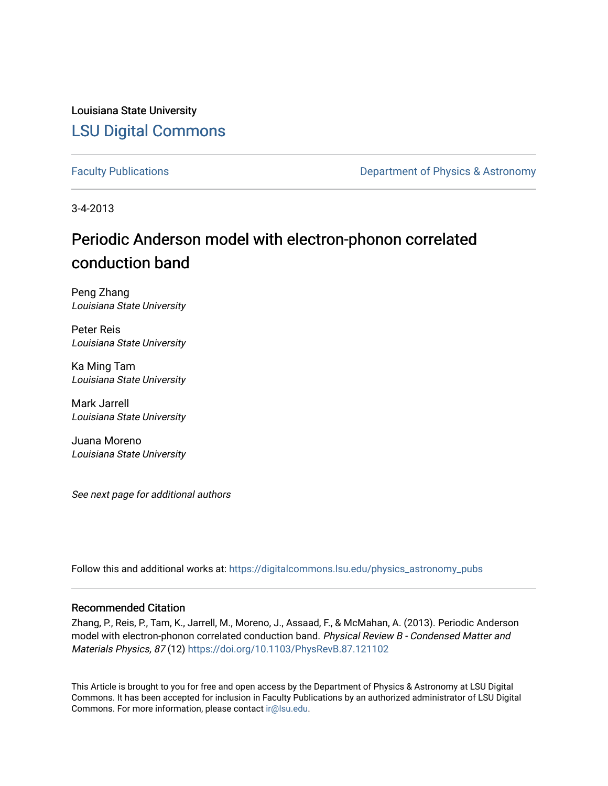Louisiana State University [LSU Digital Commons](https://digitalcommons.lsu.edu/)

[Faculty Publications](https://digitalcommons.lsu.edu/physics_astronomy_pubs) **Exercise 2 and Table 2 and Table 2 and Table 2 and Table 2 and Table 2 and Table 2 and Table 2 and Table 2 and Table 2 and Table 2 and Table 2 and Table 2 and Table 2 and Table 2 and Table 2 and Table** 

3-4-2013

## Periodic Anderson model with electron-phonon correlated conduction band

Peng Zhang Louisiana State University

Peter Reis Louisiana State University

Ka Ming Tam Louisiana State University

Mark Jarrell Louisiana State University

Juana Moreno Louisiana State University

See next page for additional authors

Follow this and additional works at: [https://digitalcommons.lsu.edu/physics\\_astronomy\\_pubs](https://digitalcommons.lsu.edu/physics_astronomy_pubs?utm_source=digitalcommons.lsu.edu%2Fphysics_astronomy_pubs%2F3601&utm_medium=PDF&utm_campaign=PDFCoverPages) 

## Recommended Citation

Zhang, P., Reis, P., Tam, K., Jarrell, M., Moreno, J., Assaad, F., & McMahan, A. (2013). Periodic Anderson model with electron-phonon correlated conduction band. Physical Review B - Condensed Matter and Materials Physics, 87 (12)<https://doi.org/10.1103/PhysRevB.87.121102>

This Article is brought to you for free and open access by the Department of Physics & Astronomy at LSU Digital Commons. It has been accepted for inclusion in Faculty Publications by an authorized administrator of LSU Digital Commons. For more information, please contact [ir@lsu.edu](mailto:ir@lsu.edu).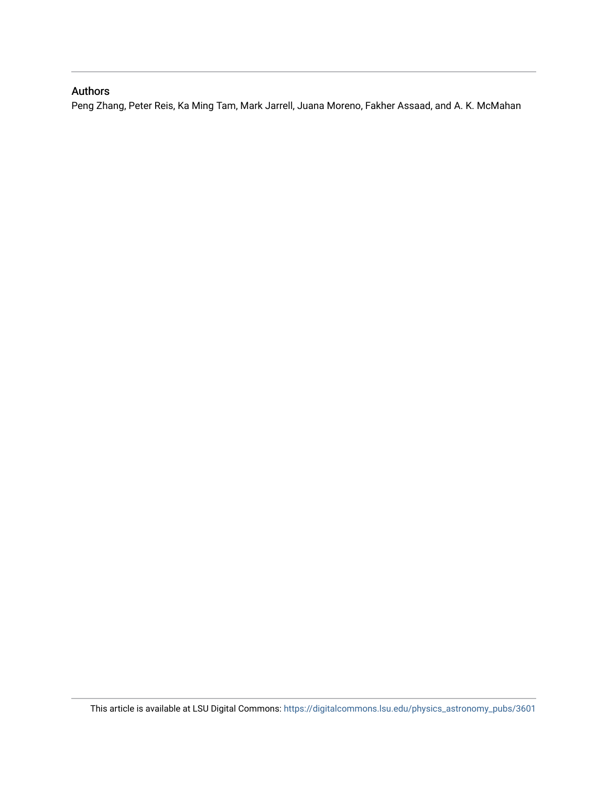## Authors

Peng Zhang, Peter Reis, Ka Ming Tam, Mark Jarrell, Juana Moreno, Fakher Assaad, and A. K. McMahan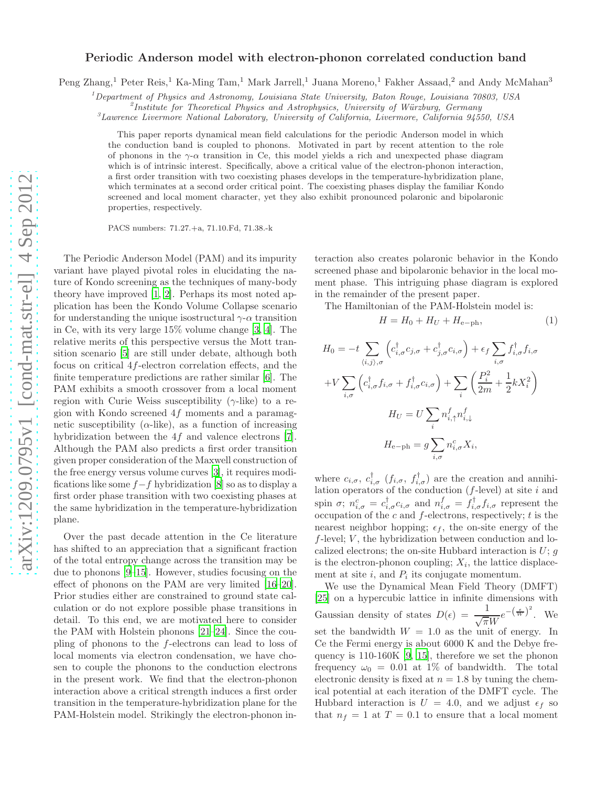## Periodic Anderson model with electron-phonon correlated conduction band

Peng Zhang,<sup>1</sup> Peter Reis,<sup>1</sup> Ka-Ming Tam,<sup>1</sup> Mark Jarrell,<sup>1</sup> Juana Moreno,<sup>1</sup> Fakher Assaad,<sup>2</sup> and Andy McMahan<sup>3</sup>

<sup>1</sup>Department of Physics and Astronomy, Louisiana State University, Baton Rouge, Louisiana 70803, USA

<sup>2</sup>Institute for Theoretical Physics and Astrophysics, University of Würzburg, Germany

 ${}^3$ Lawrence Livermore National Laboratory, University of California, Livermore, California 94550, USA

This paper reports dynamical mean field calculations for the periodic Anderson model in which the conduction band is coupled to phonons. Motivated in part by recent attention to the role of phonons in the  $\gamma$ - $\alpha$  transition in Ce, this model yields a rich and unexpected phase diagram which is of intrinsic interest. Specifically, above a critical value of the electron-phonon interaction, a first order transition with two coexisting phases develops in the temperature-hybridization plane, which terminates at a second order critical point. The coexisting phases display the familiar Kondo screened and local moment character, yet they also exhibit pronounced polaronic and bipolaronic properties, respectively.

PACS numbers: 71.27.+a, 71.10.Fd, 71.38.-k

The Periodic Anderson Model (PAM) and its impurity variant have played pivotal roles in elucidating the nature of Kondo screening as the techniques of many-body theory have improved [\[1,](#page-5-0) [2\]](#page-5-1). Perhaps its most noted application has been the Kondo Volume Collapse scenario for understanding the unique isostructural  $\gamma$ - $\alpha$  transition in Ce, with its very large 15% volume change [\[3](#page-5-2), [4](#page-5-3)]. The relative merits of this perspective versus the Mott transition scenario [\[5](#page-5-4)] are still under debate, although both focus on critical 4f-electron correlation effects, and the finite temperature predictions are rather similar [\[6](#page-5-5)]. The PAM exhibits a smooth crossover from a local moment region with Curie Weiss susceptibility ( $\gamma$ -like) to a region with Kondo screened  $4f$  moments and a paramagnetic susceptibility ( $\alpha$ -like), as a function of increasing hybridization between the 4f and valence electrons [\[7\]](#page-5-6). Although the PAM also predicts a first order transition given proper consideration of the Maxwell construction of the free energy versus volume curves [\[3\]](#page-5-2), it requires modifications like some  $f-f$  hybridization [\[8\]](#page-5-7) so as to display a first order phase transition with two coexisting phases at the same hybridization in the temperature-hybridization plane.

Over the past decade attention in the Ce literature has shifted to an appreciation that a significant fraction of the total entropy change across the transition may be due to phonons [\[9](#page-5-8)[–15\]](#page-5-9). However, studies focusing on the effect of phonons on the PAM are very limited [\[16](#page-5-10)[–20\]](#page-5-11). Prior studies either are constrained to ground state calculation or do not explore possible phase transitions in detail. To this end, we are motivated here to consider the PAM with Holstein phonons [\[21](#page-5-12)[–24\]](#page-5-13). Since the coupling of phonons to the f-electrons can lead to loss of local moments via electron condensation, we have chosen to couple the phonons to the conduction electrons in the present work. We find that the electron-phonon interaction above a critical strength induces a first order transition in the temperature-hybridization plane for the PAM-Holstein model. Strikingly the electron-phonon in-

teraction also creates polaronic behavior in the Kondo screened phase and bipolaronic behavior in the local moment phase. This intriguing phase diagram is explored in the remainder of the present paper.

The Hamiltonian of the PAM-Holstein model is:

$$
H = H_0 + H_U + H_{e-ph},\tag{1}
$$

$$
H_0 = -t \sum_{\langle i,j \rangle,\sigma} \left( c_{i,\sigma}^{\dagger} c_{j,\sigma} + c_{j,\sigma}^{\dagger} c_{i,\sigma} \right) + \epsilon_f \sum_{i,\sigma} f_{i,\sigma}^{\dagger} f_{i,\sigma}
$$

$$
+ V \sum_{i,\sigma} \left( c_{i,\sigma}^{\dagger} f_{i,\sigma} + f_{i,\sigma}^{\dagger} c_{i,\sigma} \right) + \sum_i \left( \frac{P_i^2}{2m} + \frac{1}{2} k X_i^2 \right)
$$

$$
H_U = U \sum_i n_{i,\uparrow}^f n_{i,\downarrow}^f
$$

$$
H_{\text{e-ph}} = g \sum_{i,\sigma} n_{i,\sigma}^c X_i,
$$

where  $c_{i,\sigma}$ ,  $c_{i,\sigma}^{\dagger}$  ( $f_{i,\sigma}$ ,  $f_{i,\sigma}^{\dagger}$ ) are the creation and annihilation operators of the conduction  $(f$ -level) at site  $i$  and spin  $\sigma$ ;  $n_{i,\sigma}^c = c_{i,\sigma}^{\dagger} c_{i,\sigma}$  and  $n_{i,\sigma}^f = f_{i,\sigma}^{\dagger} f_{i,\sigma}$  represent the occupation of the c and  $f$ -electrons, respectively; t is the nearest neighbor hopping;  $\epsilon_f$ , the on-site energy of the  $f$ -level;  $V$ , the hybridization between conduction and localized electrons; the on-site Hubbard interaction is  $U$ ;  $q$ is the electron-phonon coupling;  $X_i$ , the lattice displacement at site  $i$ , and  $P_i$  its conjugate momentum.

We use the Dynamical Mean Field Theory (DMFT) [\[25\]](#page-5-14) on a hypercubic lattice in infinite dimensions with Gaussian density of states  $D(\epsilon) = \frac{1}{\sqrt{\pi}W}e^{-\left(\frac{\epsilon}{W}\right)^2}$ . We set the bandwidth  $W = 1.0$  as the unit of energy. In Ce the Fermi energy is about 6000 K and the Debye frequency is 110-160K [\[9,](#page-5-8) [15](#page-5-9)], therefore we set the phonon frequency  $\omega_0 = 0.01$  at 1% of bandwidth. The total electronic density is fixed at  $n = 1.8$  by tuning the chemical potential at each iteration of the DMFT cycle. The Hubbard interaction is  $U = 4.0$ , and we adjust  $\epsilon_f$  so that  $n_f = 1$  at  $T = 0.1$  to ensure that a local moment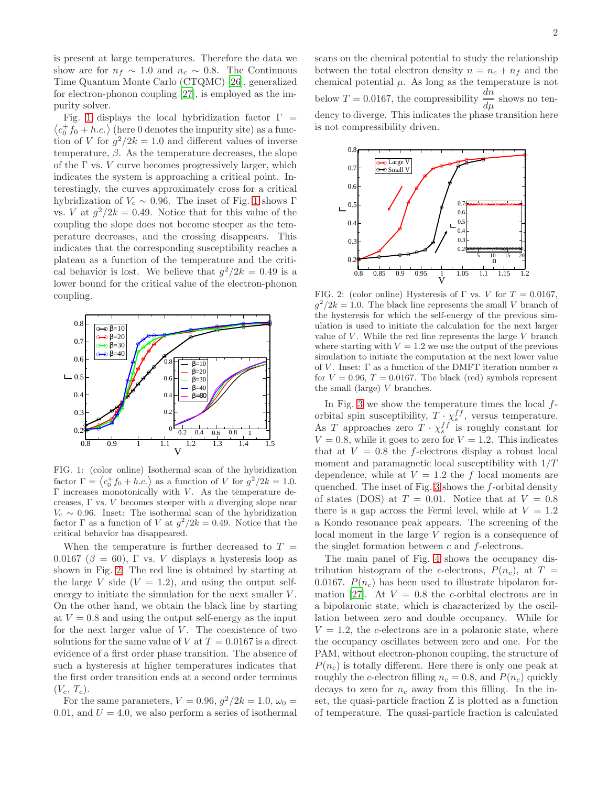is present at large temperatures. Therefore the data we show are for  $n_f \sim 1.0$  and  $n_c \sim 0.8$ . The Continuous Time Quantum Monte Carlo (CTQMC) [\[26\]](#page-5-15), generalized for electron-phonon coupling [\[27\]](#page-5-16), is employed as the impurity solver.

 $\langle c_0^+ f_0 + h.c. \rangle$  (here 0 denotes the impurity site) as a func-Fig. [1](#page-3-0) displays the local hybridization factor  $\Gamma =$ tion of V for  $g^2/2k = 1.0$  and different values of inverse temperature,  $\beta$ . As the temperature decreases, the slope of the  $\Gamma$  vs.  $V$  curve becomes progressively larger, which indicates the system is approaching a critical point. Interestingly, the curves approximately cross for a critical hybridization of  $V_c \sim 0.96$ . The inset of Fig. [1](#page-3-0) shows Γ vs. *V* at  $g^2/2k = 0.49$ . Notice that for this value of the coupling the slope does not become steeper as the temperature decreases, and the crossing disappears. This indicates that the corresponding susceptibility reaches a plateau as a function of the temperature and the critical behavior is lost. We believe that  $g^2/2k = 0.49$  is a lower bound for the critical value of the electron-phonon coupling.



<span id="page-3-0"></span>FIG. 1: (color online) Isothermal scan of the hybridization factor  $\Gamma = \langle c_0^+ f_0 + h.c. \rangle$  as a function of V for  $g^2/2k = 1.0$ .  $\Gamma$  increases monotonically with  $V$ . As the temperature decreases, Γ vs. V becomes steeper with a diverging slope near  $V_c \sim 0.96$ . Inset: The isothermal scan of the hybridization factor  $\Gamma$  as a function of V at  $g^2/2k = 0.49$ . Notice that the critical behavior has disappeared.

When the temperature is further decreased to  $T =$ 0.0167 ( $\beta = 60$ ), Γ vs. V displays a hysteresis loop as shown in Fig. [2.](#page-3-1) The red line is obtained by starting at the large V side  $(V = 1.2)$ , and using the output selfenergy to initiate the simulation for the next smaller V. On the other hand, we obtain the black line by starting at  $V = 0.8$  and using the output self-energy as the input for the next larger value of  $V$ . The coexistence of two solutions for the same value of V at  $T = 0.0167$  is a direct evidence of a first order phase transition. The absence of such a hysteresis at higher temperatures indicates that the first order transition ends at a second order terminus  $(V_c, T_c)$ .

For the same parameters,  $V = 0.96, g^2/2k = 1.0, \omega_0 =$ 0.01, and  $U = 4.0$ , we also perform a series of isothermal scans on the chemical potential to study the relationship between the total electron density  $n = n_c + n_f$  and the chemical potential  $\mu$ . As long as the temperature is not below  $T = 0.0167$ , the compressibility  $\frac{dn}{d\mu}$  shows no tendency to diverge. This indicates the phase transition here is not compressibility driven.



<span id="page-3-1"></span>FIG. 2: (color online) Hysteresis of  $\Gamma$  vs. V for  $T = 0.0167$ ,  $g^2/2k = 1.0$ . The black line represents the small V branch of the hysteresis for which the self-energy of the previous simulation is used to initiate the calculation for the next larger value of  $V$ . While the red line represents the large  $V$  branch where starting with  $V = 1.2$  we use the output of the previous simulation to initiate the computation at the next lower value of V. Inset:  $\Gamma$  as a function of the DMFT iteration number n for  $V = 0.96$ ,  $T = 0.0167$ . The black (red) symbols represent the small (large) V branches.

In Fig. [3](#page-4-0) we show the temperature times the local  $f$ orbital spin susceptibility,  $T \cdot \chi_s^{ff}$ , versus temperature. As T approaches zero  $T \cdot \chi_s^{ff}$  is roughly constant for  $V = 0.8$ , while it goes to zero for  $V = 1.2$ . This indicates that at  $V = 0.8$  the f-electrons display a robust local moment and paramagnetic local susceptibility with  $1/T$ dependence, while at  $V = 1.2$  the f local moments are quenched. The inset of Fig. [3](#page-4-0) shows the f-orbital density of states (DOS) at  $T = 0.01$ . Notice that at  $V = 0.8$ there is a gap across the Fermi level, while at  $V = 1.2$ a Kondo resonance peak appears. The screening of the local moment in the large V region is a consequence of the singlet formation between  $c$  and  $f$ -electrons.

The main panel of Fig. [4](#page-4-1) shows the occupancy distribution histogram of the c-electrons,  $P(n_c)$ , at  $T =$ 0.0167.  $P(n_c)$  has been used to illustrate bipolaron for-mation [\[27\]](#page-5-16). At  $V = 0.8$  the c-orbital electrons are in a bipolaronic state, which is characterized by the oscillation between zero and double occupancy. While for  $V = 1.2$ , the c-electrons are in a polaronic state, where the occupancy oscillates between zero and one. For the PAM, without electron-phonon coupling, the structure of  $P(n_c)$  is totally different. Here there is only one peak at roughly the c-electron filling  $n_c = 0.8$ , and  $P(n_c)$  quickly decays to zero for  $n_c$  away from this filling. In the inset, the quasi-particle fraction Z is plotted as a function of temperature. The quasi-particle fraction is calculated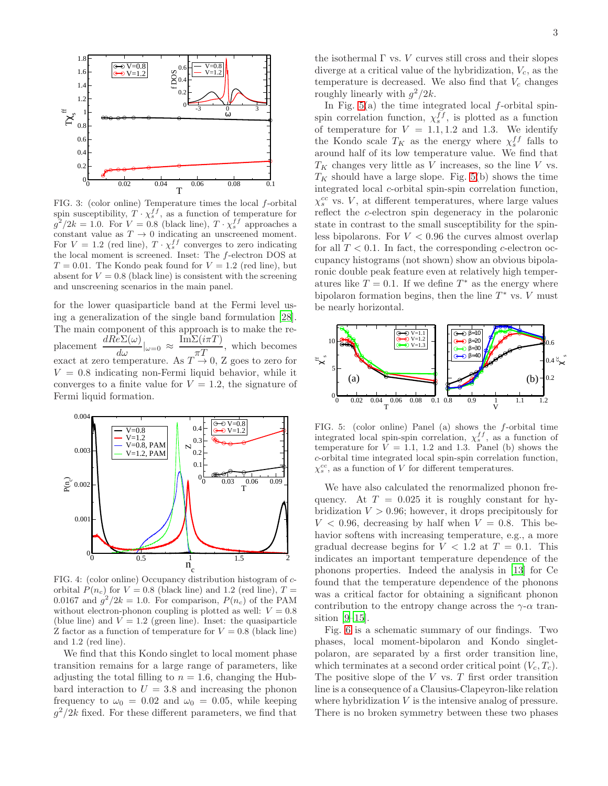

<span id="page-4-0"></span>FIG. 3: (color online) Temperature times the local f-orbital spin susceptibility,  $T \cdot \chi_s^{ff}$ , as a function of temperature for  $g^2/2k = 1.0$ . For  $V = 0.8$  (black line),  $T \cdot \chi_s^{ff}$  approaches a constant value as  $T \to 0$  indicating an unscreened moment. For  $V = 1.2$  (red line),  $T \cdot \chi_s^{ff}$  converges to zero indicating the local moment is screened. Inset: The f-electron DOS at  $T = 0.01$ . The Kondo peak found for  $V = 1.2$  (red line), but absent for  $V = 0.8$  (black line) is consistent with the screening and unscreening scenarios in the main panel.

for the lower quasiparticle band at the Fermi level using a generalization of the single band formulation [\[28\]](#page-5-17). The main component of this approach is to make the re-<br>
placement  $\frac{dRe\Sigma(\omega)}{dE(\omega)}|_{\omega=\alpha} \approx \frac{\text{Im}\Sigma(i\pi T)}{dE(\omega)}$ , which becomes placement  $\frac{dRe\Sigma(\omega)}{d\omega}|_{\omega=0} \approx \frac{\text{Im}\Sigma(i\pi T)}{\pi T}$ , which becomes exact at zero temperature. As  $T \to 0$ , Z goes to zero for  $\frac{\text{Im}\Sigma(i\pi T)}{T}$ , which becomes  $V = 0.8$  indicating non-Fermi liquid behavior, while it converges to a finite value for  $V = 1.2$ , the signature of Fermi liquid formation.



<span id="page-4-1"></span>FIG. 4: (color online) Occupancy distribution histogram of corbital  $P(n_c)$  for  $V = 0.8$  (black line) and 1.2 (red line),  $T =$ 0.0167 and  $g^2/2k = 1.0$ . For comparison,  $P(n_c)$  of the PAM without electron-phonon coupling is plotted as well:  $V = 0.8$ (blue line) and  $V = 1.2$  (green line). Inset: the quasiparticle Z factor as a function of temperature for  $V = 0.8$  (black line) and 1.2 (red line).

We find that this Kondo singlet to local moment phase transition remains for a large range of parameters, like adjusting the total filling to  $n = 1.6$ , changing the Hubbard interaction to  $U = 3.8$  and increasing the phonon frequency to  $\omega_0 = 0.02$  and  $\omega_0 = 0.05$ , while keeping  $g^2/2k$  fixed. For these different parameters, we find that

the isothermal  $\Gamma$  vs.  $V$  curves still cross and their slopes diverge at a critical value of the hybridization,  $V_c$ , as the temperature is decreased. We also find that  $V_c$  changes roughly linearly with  $g^2/2k$ .

In Fig.  $5(a)$  the time integrated local f-orbital spinspin correlation function,  $\chi_s^{ff}$ , is plotted as a function of temperature for  $V = 1.1, 1.2$  and 1.3. We identify the Kondo scale  $T_K$  as the energy where  $\chi_s^{ff}$  falls to around half of its low temperature value. We find that  $T_K$  changes very little as V increases, so the line V vs.  $T_K$  should have a large slope. Fig. [5\(](#page-4-2)b) shows the time integrated local c-orbital spin-spin correlation function,  $\chi_s^{cc}$  vs. V, at different temperatures, where large values reflect the c-electron spin degeneracy in the polaronic state in contrast to the small susceptibility for the spinless bipolarons. For  $V < 0.96$  the curves almost overlap for all  $T < 0.1$ . In fact, the corresponding c-electron occupancy histograms (not shown) show an obvious bipolaronic double peak feature even at relatively high temperatures like  $T = 0.1$ . If we define  $T^*$  as the energy where bipolaron formation begins, then the line  $T^*$  vs.  $V$  must be nearly horizontal.



<span id="page-4-2"></span>FIG. 5: (color online) Panel (a) shows the f-orbital time integrated local spin-spin correlation,  $\chi_s^{ff}$ , as a function of temperature for  $V = 1.1$ , 1.2 and 1.3. Panel (b) shows the c-orbital time integrated local spin-spin correlation function,  $\chi_s^{cc}$ , as a function of V for different temperatures.

We have also calculated the renormalized phonon frequency. At  $T = 0.025$  it is roughly constant for hybridization  $V > 0.96$ ; however, it drops precipitously for  $V < 0.96$ , decreasing by half when  $V = 0.8$ . This behavior softens with increasing temperature, e.g., a more gradual decrease begins for  $V < 1.2$  at  $T = 0.1$ . This indicates an important temperature dependence of the phonons properties. Indeed the analysis in [\[13](#page-5-18)] for Ce found that the temperature dependence of the phonons was a critical factor for obtaining a significant phonon contribution to the entropy change across the  $\gamma$ - $\alpha$  transition  $[9-15]$ .

Fig. [6](#page-5-19) is a schematic summary of our findings. Two phases, local moment-bipolaron and Kondo singletpolaron, are separated by a first order transition line, which terminates at a second order critical point  $(V_c, T_c)$ . The positive slope of the  $V$  vs.  $T$  first order transition line is a consequence of a Clausius-Clapeyron-like relation where hybridization V is the intensive analog of pressure. There is no broken symmetry between these two phases